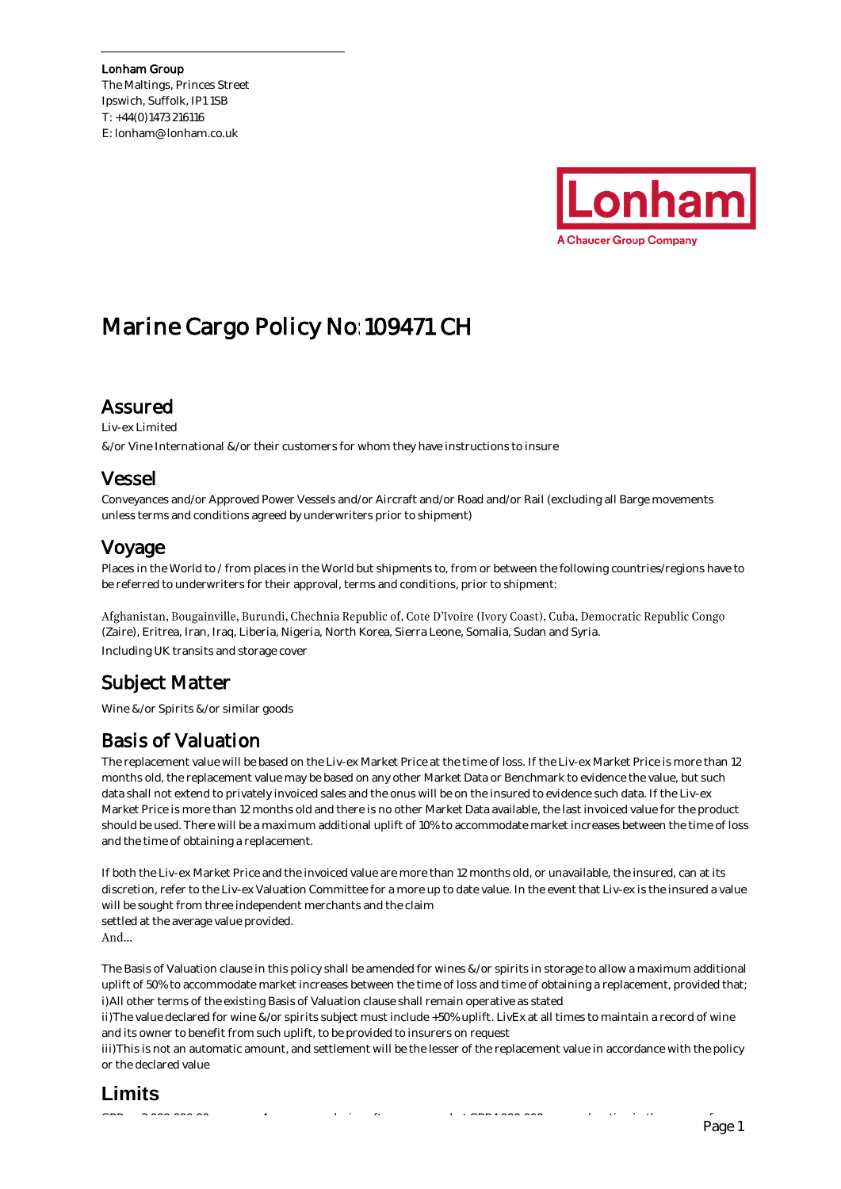The Maltings, Princes Street Ipswich, Suffolk, IP1 1SB T: +44(0)1473 216116 E: lonham@lonham.co.uk



# Marine Cargo Policy No:109471 CH

### Assured

Liv-ex Limited &/or Vine International &/or their customers for whom they have instructions to insure

### Vessel

Conveyances and/or Approved Power Vessels and/or Aircraft and/or Road and/or Rail (excluding all Barge movements unless terms and conditions agreed by underwriters prior to shipment)

### Voyage

Places in the World to / from places in the World but shipments to, from or between the following countries/regions have to be referred to underwriters for their approval, terms and conditions, prior to shipment:

Afghanistan, Bougainville, Burundi, Chechnia Republic of, Cote D'Ivoire (Ivory Coast), Cuba, Democratic Republic Congo (Zaire), Eritrea, Iran, Iraq, Liberia, Nigeria, North Korea, Sierra Leone, Somalia, Sudan and Syria. Including UK transits and storage cover

### Subject Matter

Wine &/or Spirits &/or similar goods

### Basis of Valuation

The replacement value will be based on the Liv-ex Market Price at the time of loss. If the Liv-ex Market Price is more than 12 months old, the replacement value may be based on any other Market Data or Benchmark to evidence the value, but such data shall not extend to privately invoiced sales and the onus will be on the insured to evidence such data. If the Liv-ex Market Price is more than 12 months old and there is no other Market Data available, the last invoiced value for the product should be used. There will be a maximum additional uplift of 10% to accommodate market increases between the time of loss and the time of obtaining a replacement.

If both the Liv-ex Market Price and the invoiced value are more than 12 months old, or unavailable, the insured, can at its discretion, refer to the Liv-ex Valuation Committee for a more up to date value. In the event that Liv-ex is the insured a value will be sought from three independent merchants and the claim

settled at the average value provided.

And...

The Basis of Valuation clause in this policy shall be amended for wines &/or spirits in storage to allow a maximum additional uplift of 50% to accommodate market increases between the time of loss and time of obtaining a replacement, provided that; i) All other terms of the existing Basis of Valuation clause shall remain operative as stated

ii) The value declared for wine &/or spirits subject must include +50% uplift. LivEx at all times to maintain a record of wine and its owner to benefit from such uplift, to be provided to insurers on request

iii) This is not an automatic amount, and settlement will be the lesser of the replacement value in accordance with the policy or the declared value

### **Limits**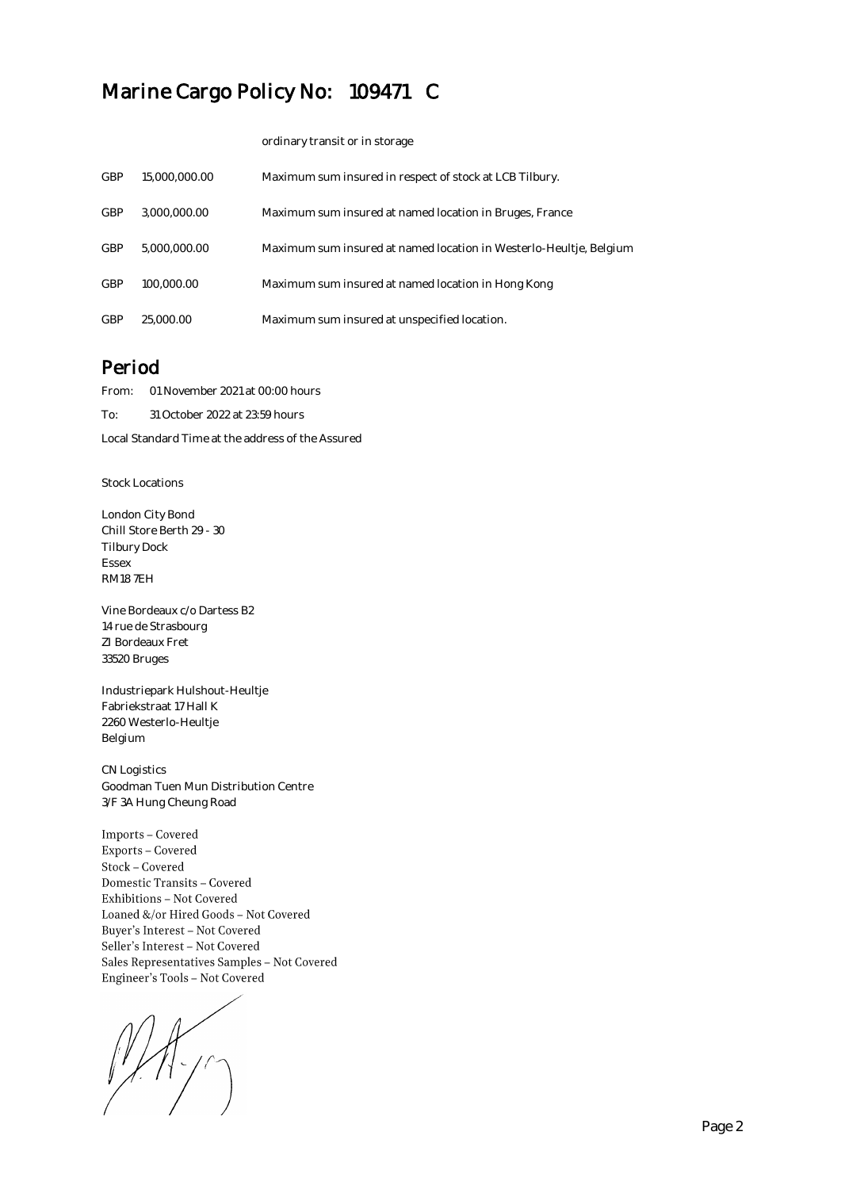ordinary transit or in storage

| <b>GBP</b> | 15,000,000,00 | Maximum sum insured in respect of stock at LCB Tilbury.            |
|------------|---------------|--------------------------------------------------------------------|
| <b>GBP</b> | 3.000.000.00  | Maximum sum insured at named location in Bruges, France            |
| <b>GBP</b> | 5,000,000,00  | Maximum sum insured at named location in Westerlo-Heultje, Belgium |
| GBP        | 100,000.00    | Maximum sum insured at named location in Hong Kong                 |
| GBP        | 25,000.00     | Maximum sum insured at unspecified location.                       |

### Period

From: 01 November 2021 at 00:00 hours

To: 31 October 2022 at 23:59 hours

Local Standard Time at the address of the Assured

Stock Locations

London City Bond Chill Store Berth 29 - 30 Tilbury Dock Essex RM18 7EH

Vine Bordeaux c/o Dartess B2 14 rue de Strasbourg ZI Bordeaux Fret 33520 Bruges

Industriepark Hulshout-Heultje Fabriekstraat 17 Hall K 2260 Westerlo-Heultje Belgium

CN Logistics Goodman Tuen Mun Distribution Centre 3/F 3A Hung Cheung Road

 $\label{lem:1} \textbf{Imports}-\text{Covered}$ Exports - Covered  $Stock-Covered$ Domestic Transits - Covered Exhibitions - Not Covered Loaned &/or Hired Goods - Not Covered Buyer's Interest - Not Covered Seller's Interest - Not Covered Sales Representatives Samples - Not Covered Engineer's Tools - Not Covered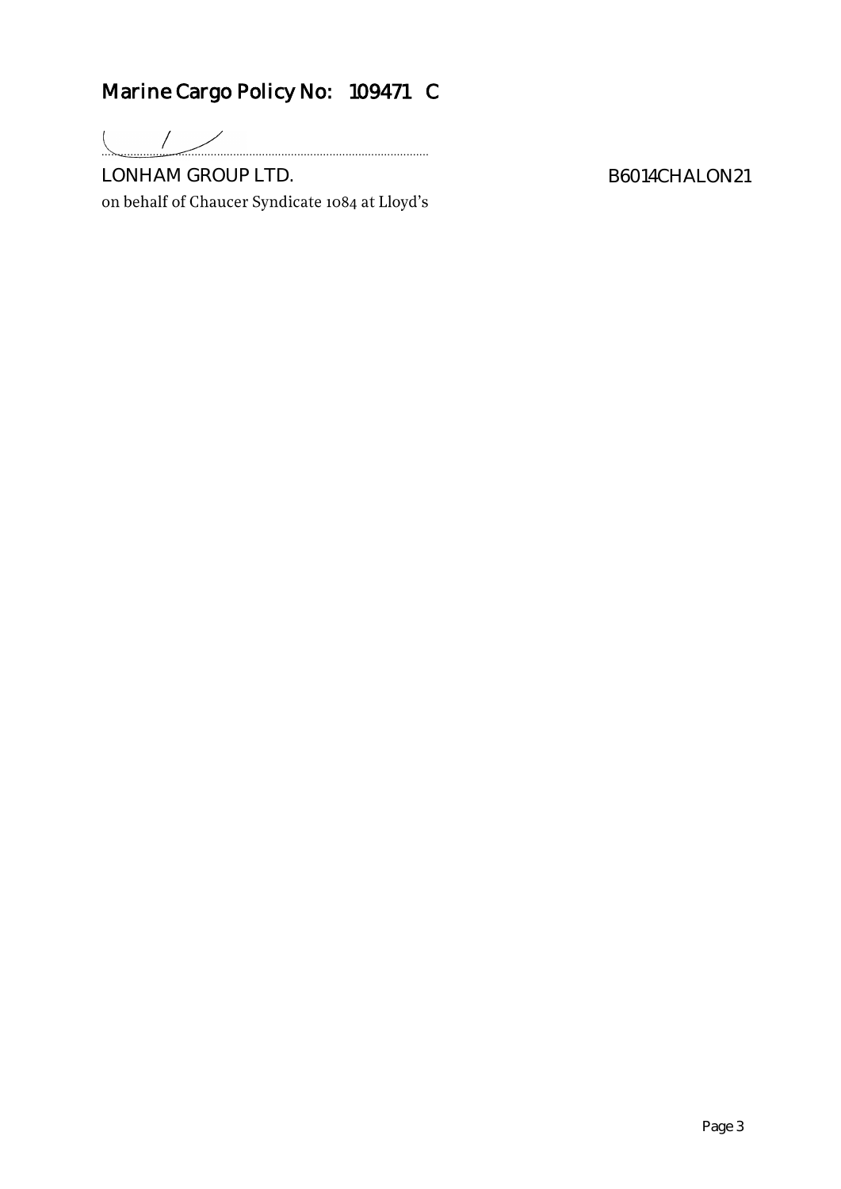......................................................................................................

LONHAM GROUP LTD.<br>on behalf of Chaucer Syndicate 1084 at Lloyd's

B6014CHALON21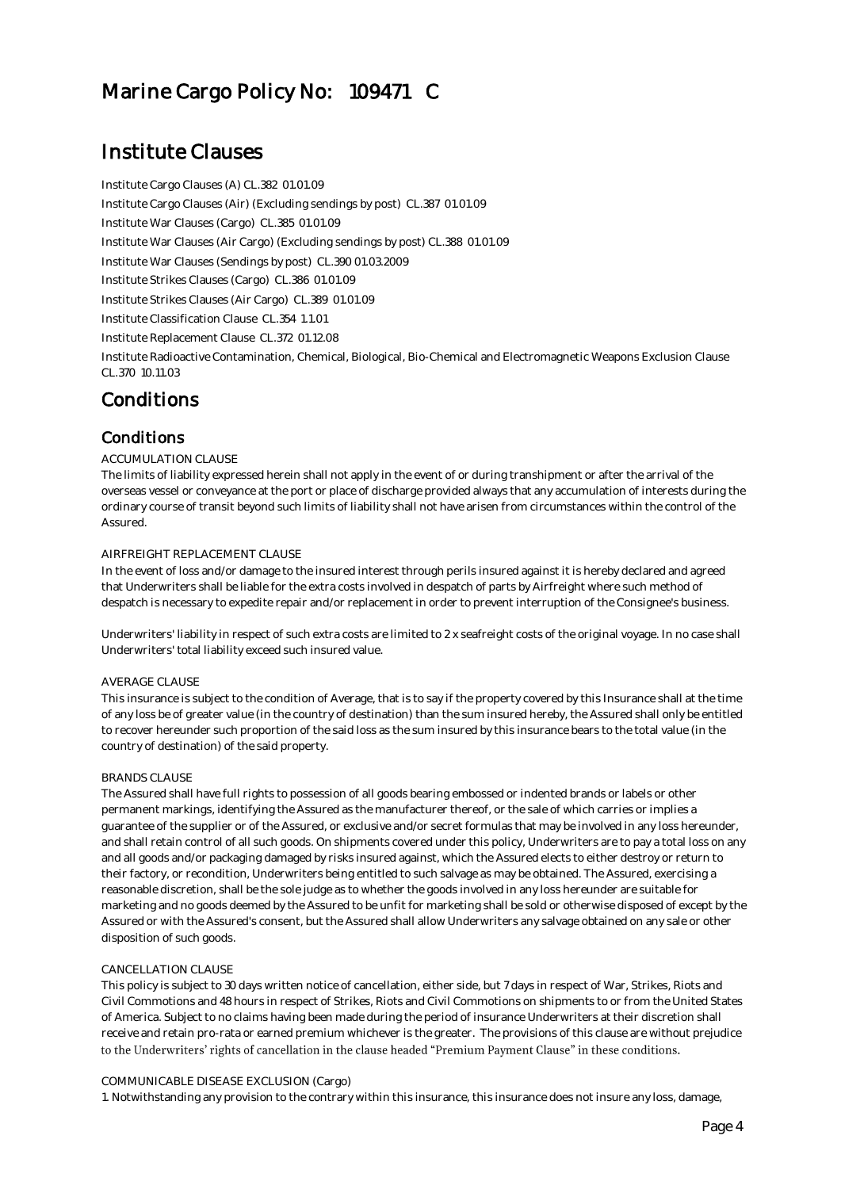### Institute Clauses

Institute Cargo Clauses (A) CL.382 01.01.09 Institute Cargo Clauses (Air) (Excluding sendings by post) CL.387 01.01.09 Institute War Clauses (Cargo) CL.385 01.01.09 Institute War Clauses (Air Cargo) (Excluding sendings by post) CL.388 01.01.09 Institute War Clauses (Sendings by post) CL.390 01.03.2009 Institute Strikes Clauses (Cargo) CL.386 01.01.09 Institute Strikes Clauses (Air Cargo) CL.389 01.01.09 Institute Classification Clause CL.354 1.1.01 Institute Replacement Clause CL.372 01.12.08 Institute Radioactive Contamination, Chemical, Biological, Bio-Chemical and Electromagnetic Weapons Exclusion Clause CL.370 10.11.03

### Conditions

### Conditions

### ACCUMULATION CLAUSE

The limits of liability expressed herein shall not apply in the event of or during transhipment or after the arrival of the overseas vessel or conveyance at the port or place of discharge provided always that any accumulation of interests during the ordinary course of transit beyond such limits of liability shall not have arisen from circumstances within the control of the Assured.

### AIRFREIGHT REPLACEMENT CLAUSE

In the event of loss and/or damage to the insured interest through perils insured against it is hereby declared and agreed that Underwriters shall be liable for the extra costs involved in despatch of parts by Airfreight where such method of despatch is necessary to expedite repair and/or replacement in order to prevent interruption of the Consignee's business.

Underwriters' liability in respect of such extra costs are limited to 2 x seafreight costs of the original voyage. In no case shall Underwriters' total liability exceed such insured value.

### **AVERAGE CLAUSE**

This insurance is subject to the condition of Average, that is to say if the property covered by this Insurance shall at the time of any loss be of greater value (in the country of destination) than the sum insured hereby, the Assured shall only be entitled to recover hereunder such proportion of the said loss as the sum insured by this insurance bears to the total value (in the country of destination) of the said property.

### BRANDS CLAUSE

The Assured shall have full rights to possession of all goods bearing embossed or indented brands or labels or other permanent markings, identifying the Assured as the manufacturer thereof, or the sale of which carries or implies a guarantee of the supplier or of the Assured, or exclusive and/or secret formulas that may be involved in any loss hereunder, and shall retain control of all such goods. On shipments covered under this policy, Underwriters are to pay a total loss on any and all goods and/or packaging damaged by risks insured against, which the Assured elects to either destroy or return to their factory, or recondition, Underwriters being entitled to such salvage as may be obtained. The Assured, exercising a reasonable discretion, shall be the sole judge as to whether the goods involved in any loss hereunder are suitable for marketing and no goods deemed by the Assured to be unfit for marketing shall be sold or otherwise disposed of except by the Assured or with the Assured's consent, but the Assured shall allow Underwriters any salvage obtained on any sale or other disposition of such goods.

### CANCELLATION CLAUSE

This policy is subject to 30 days written notice of cancellation, either side, but 7 days in respect of War, Strikes, Riots and Civil Commotions and 48 hours in respect of Strikes, Riots and Civil Commotions on shipments to or from the United States of America. Subject to no claims having been made during the period of insurance Underwriters at their discretion shall receive and retain pro-rata or earned premium whichever is the greater. The provisions of this clause are without prejudice to the Underwriters' rights of cancellation in the clause headed "Premium Payment Clause" in these conditions.

### COMMUNICABLE DISEASE EXCLUSION (Cargo)

1. Notwithstanding any provision to the contrary within this insurance, this insurance does not insure any loss, damage,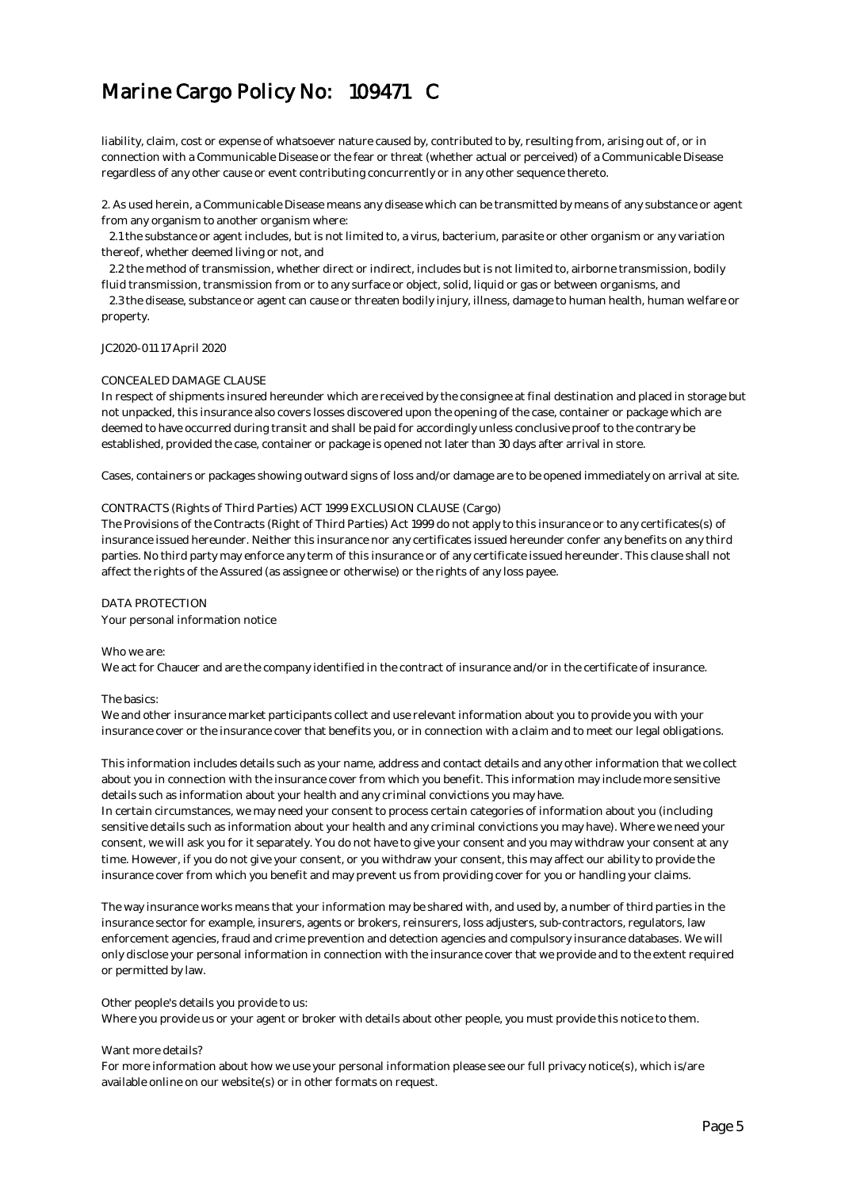liability, claim, cost or expense of whatsoever nature caused by, contributed to by, resulting from, arising out of, or in connection with a Communicable Disease or the fear or threat (whether actual or perceived) of a Communicable Disease regardless of any other cause or event contributing concurrently or in any other sequence thereto.

2. As used herein, a Communicable Disease means any disease which can be transmitted by means of any substance or agent from any organism to another organism where:

 2.1 the substance or agent includes, but is not limited to, a virus, bacterium, parasite or other organism or any variation thereof, whether deemed living or not, and

 2.2 the method of transmission, whether direct or indirect, includes but is not limited to, airborne transmission, bodily fluid transmission, transmission from or to any surface or object, solid, liquid or gas or between organisms, and

 2.3 the disease, substance or agent can cause or threaten bodily injury, illness, damage to human health, human welfare or property.

### JC2020-011 17 April 2020

### CONCEALED DAMAGE CLAUSE

In respect of shipments insured hereunder which are received by the consignee at final destination and placed in storage but not unpacked, this insurance also covers losses discovered upon the opening of the case, container or package which are deemed to have occurred during transit and shall be paid for accordingly unless conclusive proof to the contrary be established, provided the case, container or package is opened not later than 30 days after arrival in store.

Cases, containers or packages showing outward signs of loss and/or damage are to be opened immediately on arrival at site. 

#### CONTRACTS (Rights of Third Parties) ACT 1999 EXCLUSION CLAUSE (Cargo)

The Provisions of the Contracts (Right of Third Parties) Act 1999 do not apply to this insurance or to any certificates(s) of insurance issued hereunder. Neither this insurance nor any certificates issued hereunder confer any benefits on any third parties. No third party may enforce any term of this insurance or of any certificate issued hereunder. This clause shall not affect the rights of the Assured (as assignee or otherwise) or the rights of any loss payee. 

### DATA PROTECTION

Your personal information notice

#### Who we are:

We act for Chaucer and are the company identified in the contract of insurance and/or in the certificate of insurance.

### The basics:

We and other insurance market participants collect and use relevant information about you to provide you with your insurance cover or the insurance cover that benefits you, or in connection with a claim and to meet our legal obligations.

This information includes details such as your name, address and contact details and any other information that we collect about you in connection with the insurance cover from which you benefit. This information may include more sensitive details such as information about your health and any criminal convictions you may have.

In certain circumstances, we may need your consent to process certain categories of information about you (including sensitive details such as information about your health and any criminal convictions you may have). Where we need your consent, we will ask you for it separately. You do not have to give your consent and you may withdraw your consent at any time. However, if you do not give your consent, or you withdraw your consent, this may affect our ability to provide the insurance cover from which you benefit and may prevent us from providing cover for you or handling your claims.

The way insurance works means that your information may be shared with, and used by, a number of third parties in the insurance sector for example, insurers, agents or brokers, reinsurers, loss adjusters, sub-contractors, regulators, law enforcement agencies, fraud and crime prevention and detection agencies and compulsory insurance databases. We will only disclose your personal information in connection with the insurance cover that we provide and to the extent required or permitted by law.

#### Other people's details you provide to us:

Where you provide us or your agent or broker with details about other people, you must provide this notice to them.

#### Want more details?

For more information about how we use your personal information please see our full privacy notice(s), which is/are available online on our website(s) or in other formats on request.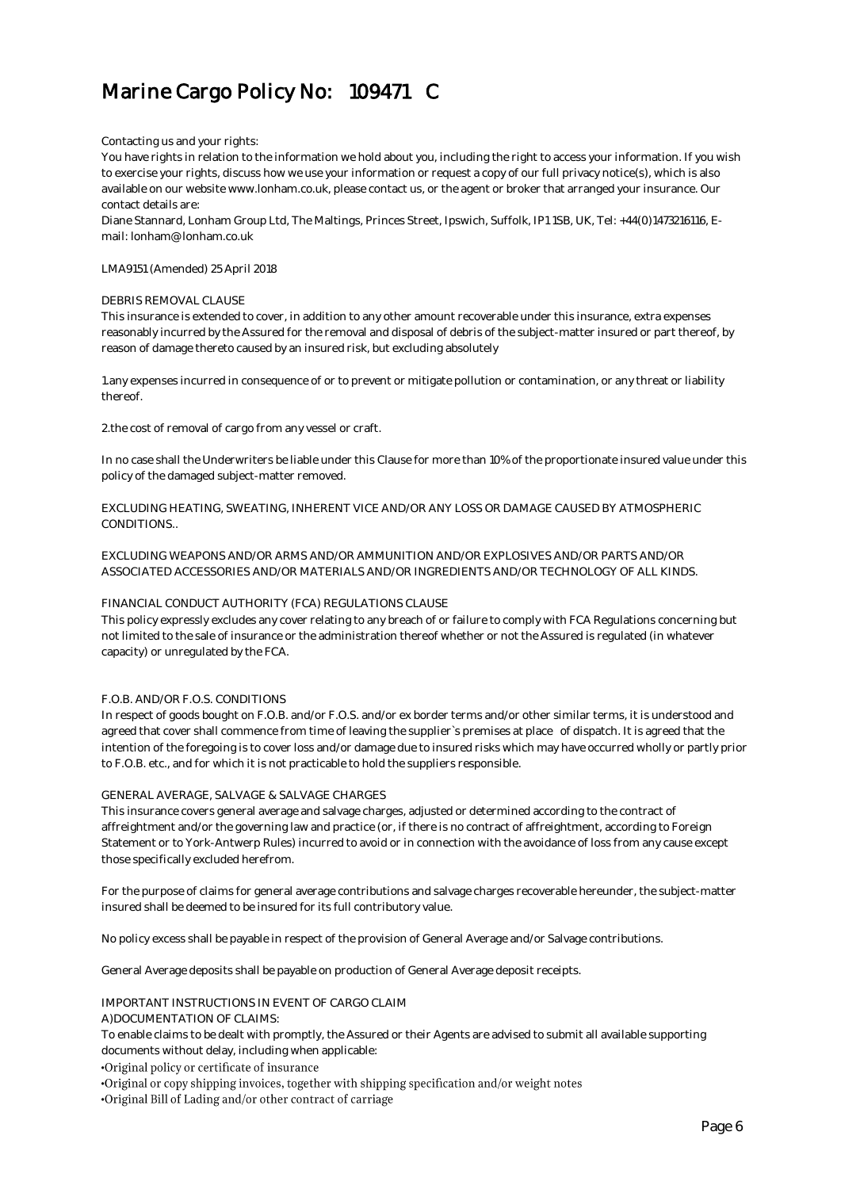#### Contacting us and your rights:

You have rights in relation to the information we hold about you, including the right to access your information. If you wish to exercise your rights, discuss how we use your information or request a copy of our full privacy notice(s), which is also available on our website www.lonham.co.uk, please contact us, or the agent or broker that arranged your insurance. Our contact details are:

Diane Stannard, Lonham Group Ltd, The Maltings, Princes Street, Ipswich, Suffolk, IP1 1SB, UK, Tel: +44(0)1473216116, Email: lonham@lonham.co.uk

LMA9151 (Amended) 25 April 2018

#### DEBRIS REMOVAL CLAUSE

This insurance is extended to cover, in addition to any other amount recoverable under this insurance, extra expenses reasonably incurred by the Assured for the removal and disposal of debris of the subject-matter insured or part thereof, by reason of damage thereto caused by an insured risk, but excluding absolutely

1. any expenses incurred in consequence of or to prevent or mitigate pollution or contamination, or any threat or liability thereof.

2. the cost of removal of cargo from any vessel or craft.

In no case shall the Underwriters be liable under this Clause for more than 10% of the proportionate insured value under this policy of the damaged subject-matter removed.

EXCLUDING HEATING, SWEATING, INHERENT VICE AND/OR ANY LOSS OR DAMAGE CAUSED BY ATMOSPHERIC CONDITIONS..

EXCLUDING WEAPONS AND/OR ARMS AND/OR AMMUNITION AND/OR EXPLOSIVES AND/OR PARTS AND/OR ASSOCIATED ACCESSORIES AND/OR MATERIALS AND/OR INGREDIENTS AND/OR TECHNOLOGY OF ALL KINDS.

### FINANCIAL CONDUCT AUTHORITY (FCA) REGULATIONS CLAUSE

This policy expressly excludes any cover relating to any breach of or failure to comply with FCA Regulations concerning but not limited to the sale of insurance or the administration thereof whether or not the Assured is regulated (in whatever capacity) or unregulated by the FCA.

### F.O.B. AND/OR F.O.S. CONDITIONS

In respect of goods bought on F.O.B. and/or F.O.S. and/or ex border terms and/or other similar terms, it is understood and agreed that cover shall commence from time of leaving the supplier`s premises at place of dispatch. It is agreed that the intention of the foregoing is to cover loss and/or damage due to insured risks which may have occurred wholly or partly prior to F.O.B. etc., and for which it is not practicable to hold the suppliers responsible.

### GENERAL AVERAGE, SALVAGE & SALVAGE CHARGES

This insurance covers general average and salvage charges, adjusted or determined according to the contract of affreightment and/or the governing law and practice (or, if there is no contract of affreightment, according to Foreign Statement or to York-Antwerp Rules) incurred to avoid or in connection with the avoidance of loss from any cause except those specifically excluded herefrom.

For the purpose of claims for general average contributions and salvage charges recoverable hereunder, the subject-matter insured shall be deemed to be insured for its full contributory value.

No policy excess shall be payable in respect of the provision of General Average and/or Salvage contributions.

General Average deposits shall be payable on production of General Average deposit receipts.

#### IMPORTANT INSTRUCTIONS IN EVENT OF CARGO CLAIM

A)DOCUMENTATION OF CLAIMS:

To enable claims to be dealt with promptly, the Assured or their Agents are advised to submit all available supporting documents without delay, including when applicable:

•Original policy or certificate of insurance

·Original or copy shipping invoices, together with shipping specification and/or weight notes

.Original Bill of Lading and/or other contract of carriage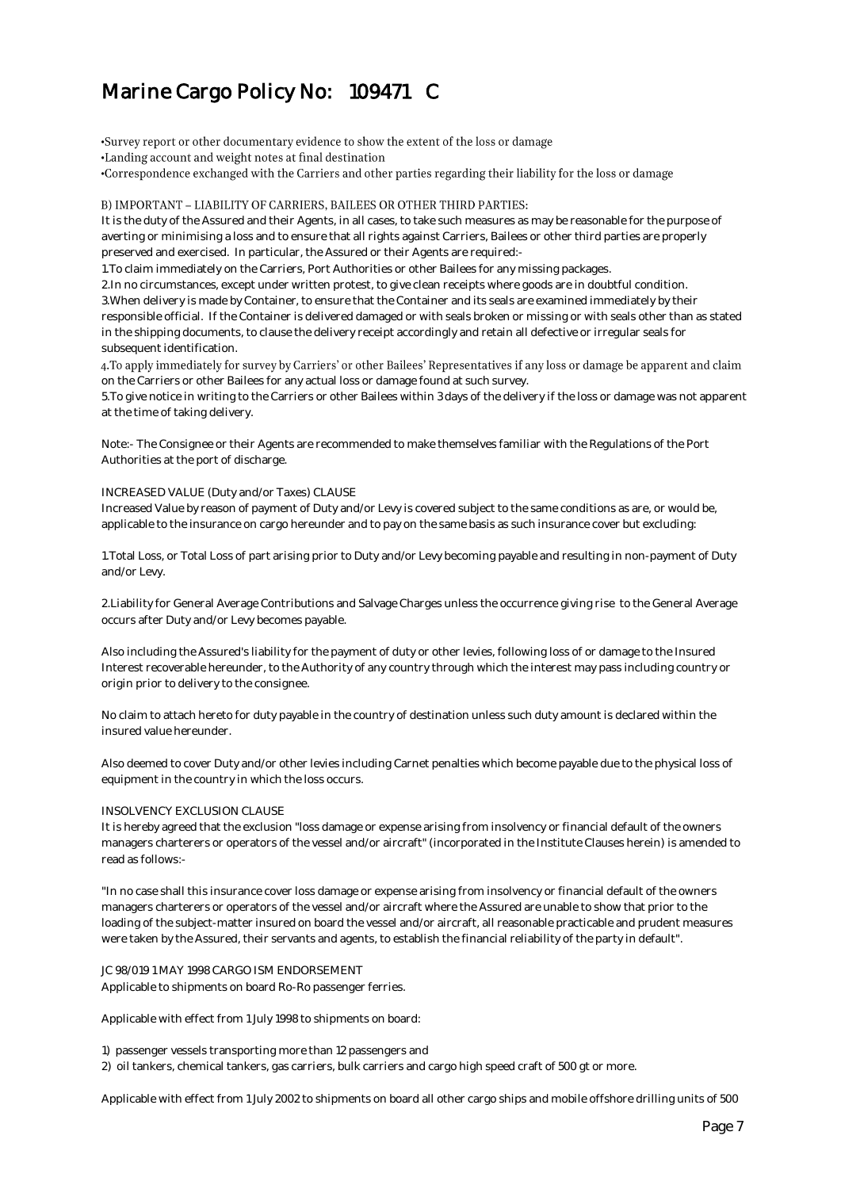•Survey report or other documentary evidence to show the extent of the loss or damage •Landing account and weight notes at final destination -Correspondence exchanged with the Carriers and other parties regarding their liability for the loss or damage

### B) IMPORTANT - LIABILITY OF CARRIERS, BAILEES OR OTHER THIRD PARTIES:

It is the duty of the Assured and their Agents, in all cases, to take such measures as may be reasonable for the purpose of averting or minimising a loss and to ensure that all rights against Carriers, Bailees or other third parties are properly preserved and exercised. In particular, the Assured or their Agents are required:-

1. To claim immediately on the Carriers, Port Authorities or other Bailees for any missing packages.

2. In no circumstances, except under written protest, to give clean receipts where goods are in doubtful condition. 3. When delivery is made by Container, to ensure that the Container and its seals are examined immediately by their responsible official. If the Container is delivered damaged or with seals broken or missing or with seals other than as stated in the shipping documents, to clause the delivery receipt accordingly and retain all defective or irregular seals for subsequent identification.

4. To apply immediately for survey by Carriers' or other Bailees' Representatives if any loss or damage be apparent and claim on the Carriers or other Bailees for any actual loss or damage found at such survey.

5. To give notice in writing to the Carriers or other Bailees within 3 days of the delivery if the loss or damage was not apparent at the time of taking delivery.

Note:- The Consignee or their Agents are recommended to make themselves familiar with the Regulations of the Port Authorities at the port of discharge.

### INCREASED VALUE (Duty and/or Taxes) CLAUSE

Increased Value by reason of payment of Duty and/or Levy is covered subject to the same conditions as are, or would be, applicable to the insurance on cargo hereunder and to pay on the same basis as such insurance cover but excluding:

1. Total Loss, or Total Loss of part arising prior to Duty and/or Levy becoming payable and resulting in non-payment of Duty and/or Levy.

2. Liability for General Average Contributions and Salvage Charges unless the occurrence giving rise to the General Average occurs after Duty and/or Levy becomes payable.

Also including the Assured's liability for the payment of duty or other levies, following loss of or damage to the Insured Interest recoverable hereunder, to the Authority of any country through which the interest may pass including country or origin prior to delivery to the consignee.

No claim to attach hereto for duty payable in the country of destination unless such duty amount is declared within the insured value hereunder.

Also deemed to cover Duty and/or other levies including Carnet penalties which become payable due to the physical loss of equipment in the country in which the loss occurs. 

### INSOLVENCY EXCLUSION CLAUSE

It is hereby agreed that the exclusion "loss damage or expense arising from insolvency or financial default of the owners managers charterers or operators of the vessel and/or aircraft" (incorporated in the Institute Clauses herein) is amended to read as follows:-

"In no case shall this insurance cover loss damage or expense arising from insolvency or financial default of the owners managers charterers or operators of the vessel and/or aircraft where the Assured are unable to show that prior to the loading of the subject-matter insured on board the vessel and/or aircraft, all reasonable practicable and prudent measures were taken by the Assured, their servants and agents, to establish the financial reliability of the party in default".

### JC 98/019 1 MAY 1998 CARGO ISM ENDORSEMENT Applicable to shipments on board Ro-Ro passenger ferries.

Applicable with effect from 1 July 1998 to shipments on board:

1) passenger vessels transporting more than 12 passengers and

2) oil tankers, chemical tankers, gas carriers, bulk carriers and cargo high speed craft of 500 gt or more.

Applicable with effect from 1 July 2002 to shipments on board all other cargo ships and mobile offshore drilling units of 500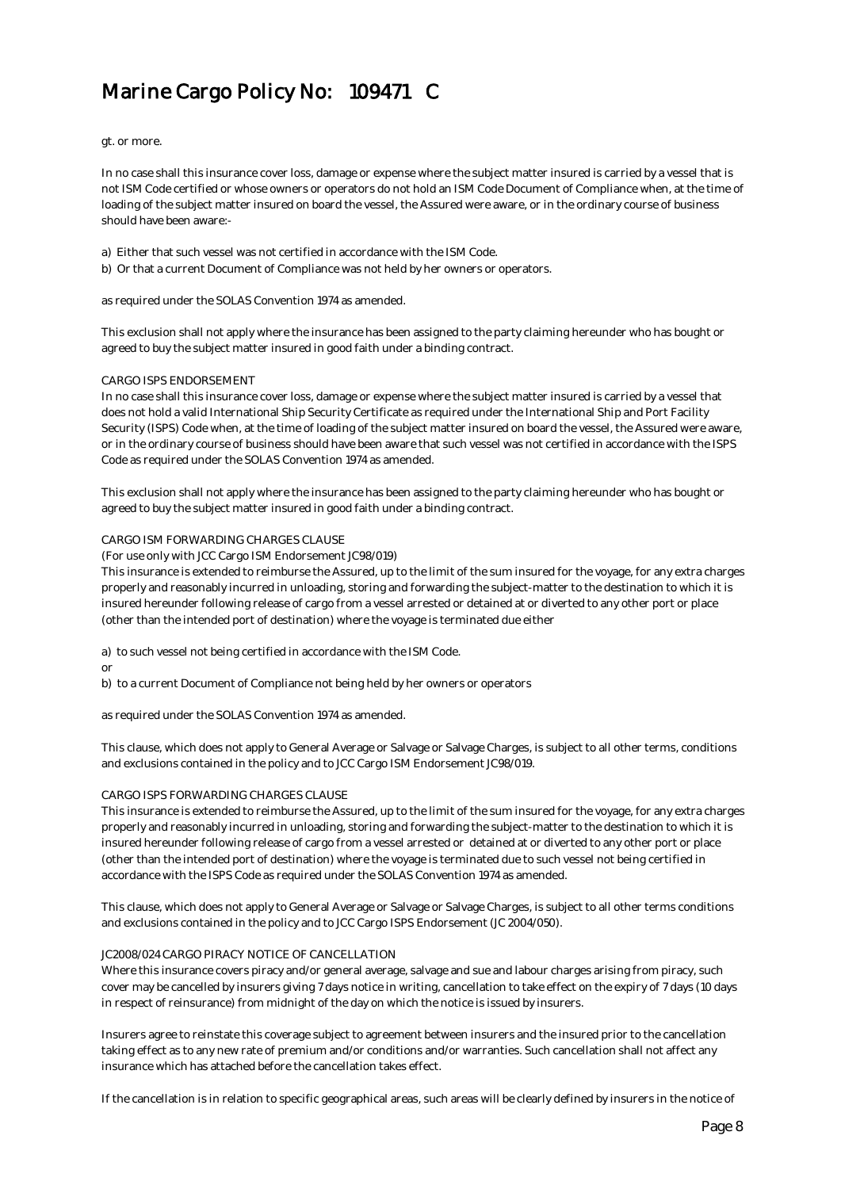gt. or more.

In no case shall this insurance cover loss, damage or expense where the subject matter insured is carried by a vessel that is not ISM Code certified or whose owners or operators do not hold an ISM Code Document of Compliance when, at the time of loading of the subject matter insured on board the vessel, the Assured were aware, or in the ordinary course of business should have been aware:-

a) Either that such vessel was not certified in accordance with the ISM Code.

b) Or that a current Document of Compliance was not held by her owners or operators.

as required under the SOLAS Convention 1974 as amended.

This exclusion shall not apply where the insurance has been assigned to the party claiming hereunder who has bought or agreed to buy the subject matter insured in good faith under a binding contract.

#### CARGO ISPS ENDORSEMENT

In no case shall this insurance cover loss, damage or expense where the subject matter insured is carried by a vessel that does not hold a valid International Ship Security Certificate as required under the International Ship and Port Facility Security (ISPS) Code when, at the time of loading of the subject matter insured on board the vessel, the Assured were aware, or in the ordinary course of business should have been aware that such vessel was not certified in accordance with the ISPS Code as required under the SOLAS Convention 1974 as amended.

This exclusion shall not apply where the insurance has been assigned to the party claiming hereunder who has bought or agreed to buy the subject matter insured in good faith under a binding contract.

#### CARGO ISM FORWARDING CHARGES CLAUSE

(For use only with JCC Cargo ISM Endorsement JC98/019)

This insurance is extended to reimburse the Assured, up to the limit of the sum insured for the voyage, for any extra charges properly and reasonably incurred in unloading, storing and forwarding the subject-matter to the destination to which it is insured hereunder following release of cargo from a vessel arrested or detained at or diverted to any other port or place (other than the intended port of destination) where the voyage is terminated due either

a) to such vessel not being certified in accordance with the ISM Code.

or

b) to a current Document of Compliance not being held by her owners or operators

as required under the SOLAS Convention 1974 as amended.

This clause, which does not apply to General Average or Salvage or Salvage Charges, is subject to all other terms, conditions and exclusions contained in the policy and to JCC Cargo ISM Endorsement JC98/019.

### CARGO ISPS FORWARDING CHARGES CLAUSE

This insurance is extended to reimburse the Assured, up to the limit of the sum insured for the voyage, for any extra charges properly and reasonably incurred in unloading, storing and forwarding the subject-matter to the destination to which it is insured hereunder following release of cargo from a vessel arrested or detained at or diverted to any other port or place (other than the intended port of destination) where the voyage is terminated due to such vessel not being certified in accordance with the ISPS Code as required under the SOLAS Convention 1974 as amended.

This clause, which does not apply to General Average or Salvage or Salvage Charges, is subject to all other terms conditions and exclusions contained in the policy and to JCC Cargo ISPS Endorsement (JC 2004/050).

#### JC2008/024 CARGO PIRACY NOTICE OF CANCELLATION

Where this insurance covers piracy and/or general average, salvage and sue and labour charges arising from piracy, such cover may be cancelled by insurers giving 7 days notice in writing, cancellation to take effect on the expiry of 7 days (10 days in respect of reinsurance) from midnight of the day on which the notice is issued by insurers.

Insurers agree to reinstate this coverage subject to agreement between insurers and the insured prior to the cancellation taking effect as to any new rate of premium and/or conditions and/or warranties. Such cancellation shall not affect any insurance which has attached before the cancellation takes effect.

If the cancellation is in relation to specific geographical areas, such areas will be clearly defined by insurers in the notice of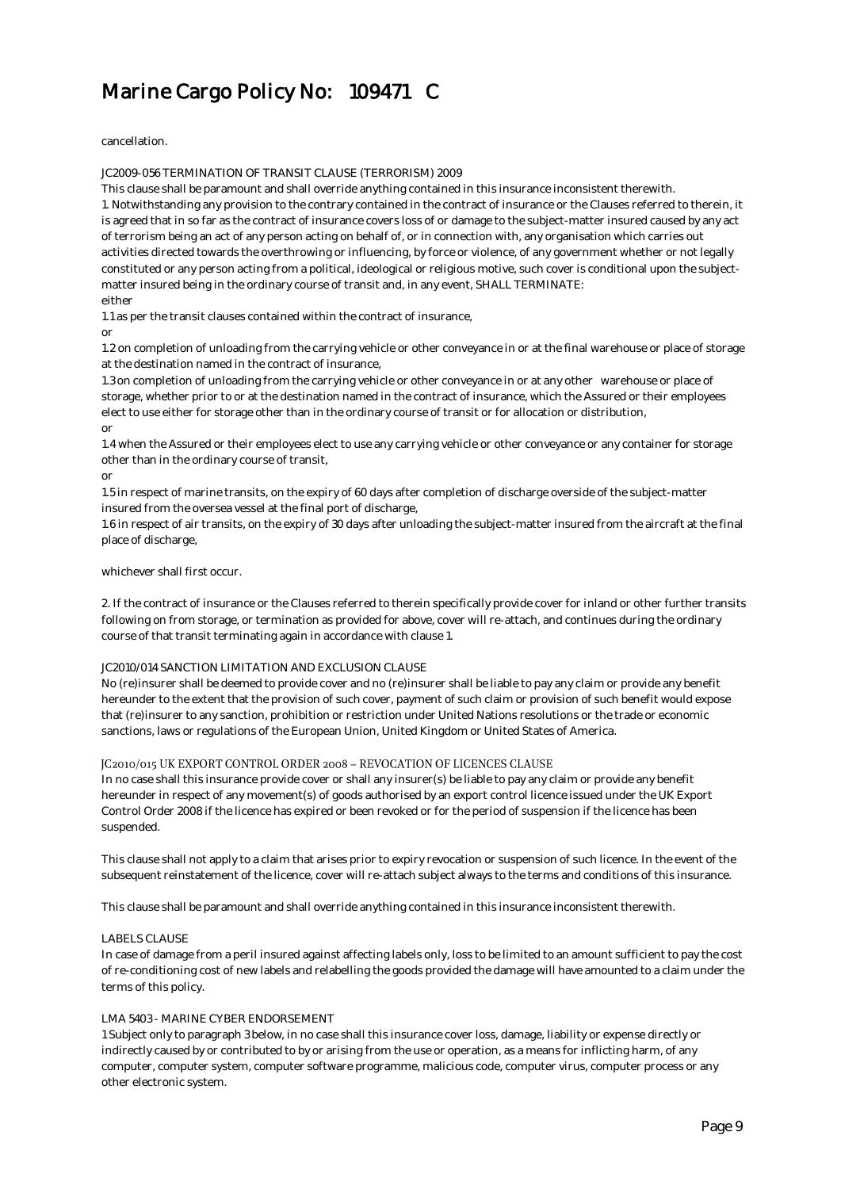cancellation.

JC2009-056 TERMINATION OF TRANSIT CLAUSE (TERRORISM) 2009

This clause shall be paramount and shall override anything contained in this insurance inconsistent therewith. 1. Notwithstanding any provision to the contrary contained in the contract of insurance or the Clauses referred to therein, it is agreed that in so far as the contract of insurance covers loss of or damage to the subject-matter insured caused by any act of terrorism being an act of any person acting on behalf of, or in connection with, any organisation which carries out activities directed towards the overthrowing or influencing, by force or violence, of any government whether or not legally constituted or any person acting from a political, ideological or religious motive, such cover is conditional upon the subjectmatter insured being in the ordinary course of transit and, in any event, SHALL TERMINATE: either

1.1 as per the transit clauses contained within the contract of insurance,

or

 1.2 on completion of unloading from the carrying vehicle or other conveyance in or at the final warehouse or place of storage at the destination named in the contract of insurance,

 1.3 on completion of unloading from the carrying vehicle or other conveyance in or at any other warehouse or place of storage, whether prior to or at the destination named in the contract of insurance, which the Assured or their employees elect to use either for storage other than in the ordinary course of transit or for allocation or distribution, or

1.4 when the Assured or their employees elect to use any carrying vehicle or other conveyance or any container for storage other than in the ordinary course of transit,

or

1.5 in respect of marine transits, on the expiry of 60 days after completion of discharge overside of the subject-matter insured from the oversea vessel at the final port of discharge,

1.6 in respect of air transits, on the expiry of 30 days after unloading the subject-matter insured from the aircraft at the final place of discharge,

### whichever shall first occur.

2. If the contract of insurance or the Clauses referred to therein specifically provide cover for inland or other further transits following on from storage, or termination as provided for above, cover will re-attach, and continues during the ordinary course of that transit terminating again in accordance with clause 1.

### JC2010/014 SANCTION LIMITATION AND EXCLUSION CLAUSE

No (re)insurer shall be deemed to provide cover and no (re)insurer shall be liable to pay any claim or provide any benefit hereunder to the extent that the provision of such cover, payment of such claim or provision of such benefit would expose that (re)insurer to any sanction, prohibition or restriction under United Nations resolutions or the trade or economic sanctions, laws or regulations of the European Union, United Kingdom or United States of America.

### JC2010/015 UK EXPORT CONTROL ORDER 2008 - REVOCATION OF LICENCES CLAUSE

In no case shall this insurance provide cover or shall any insurer(s) be liable to pay any claim or provide any benefit hereunder in respect of any movement(s) of goods authorised by an export control licence issued under the UK Export Control Order 2008 if the licence has expired or been revoked or for the period of suspension if the licence has been suspended.

This clause shall not apply to a claim that arises prior to expiry revocation or suspension of such licence. In the event of the subsequent reinstatement of the licence, cover will re-attach subject always to the terms and conditions of this insurance.

This clause shall be paramount and shall override anything contained in this insurance inconsistent therewith.

### LABELS CLAUSE

In case of damage from a peril insured against affecting labels only, loss to be limited to an amount sufficient to pay the cost of re-conditioning cost of new labels and relabelling the goods provided the damage will have amounted to a claim under the terms of this policy.

### LMA 5403 - MARINE CYBER ENDORSEMENT

1 Subject only to paragraph 3 below, in no case shall this insurance cover loss, damage, liability or expense directly or indirectly caused by or contributed to by or arising from the use or operation, as a means for inflicting harm, of any computer, computer system, computer software programme, malicious code, computer virus, computer process or any other electronic system.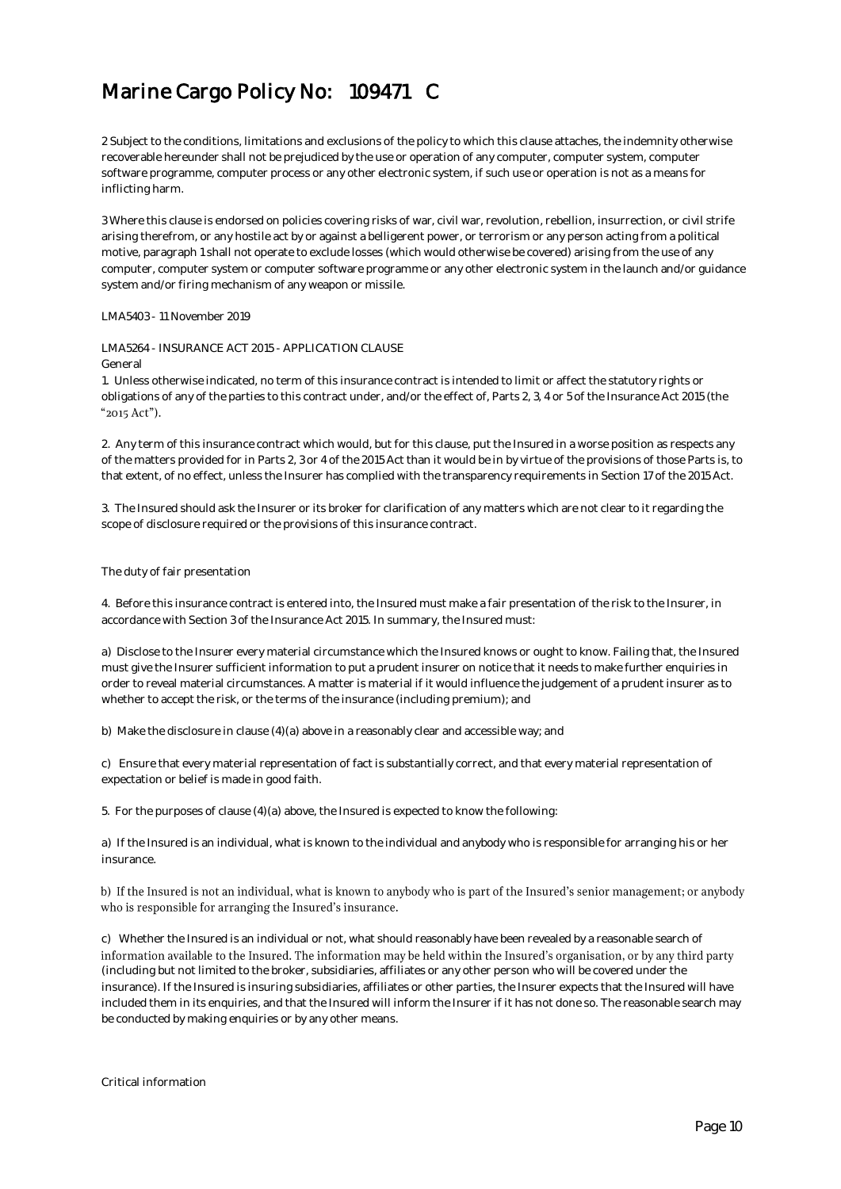2 Subject to the conditions, limitations and exclusions of the policy to which this clause attaches, the indemnity otherwise recoverable hereunder shall not be prejudiced by the use or operation of any computer, computer system, computer software programme, computer process or any other electronic system, if such use or operation is not as a means for inflicting harm.

3 Where this clause is endorsed on policies covering risks of war, civil war, revolution, rebellion, insurrection, or civil strife arising therefrom, or any hostile act by or against a belligerent power, or terrorism or any person acting from a political motive, paragraph 1 shall not operate to exclude losses (which would otherwise be covered) arising from the use of any computer, computer system or computer software programme or any other electronic system in the launch and/or guidance system and/or firing mechanism of any weapon or missile.

LMA5403 - 11 November 2019

LMA5264 - INSURANCE ACT 2015 - APPLICATION CLAUSE

General

1. Unless otherwise indicated, no term of this insurance contract is intended to limit or affect the statutory rights or obligations of any of the parties to this contract under, and/or the effect of, Parts 2, 3, 4 or 5 of the Insurance Act 2015 (the "2015 Act").

2. Any term of this insurance contract which would, but for this clause, put the Insured in a worse position as respects any of the matters provided for in Parts 2, 3 or 4 of the 2015 Act than it would be in by virtue of the provisions of those Parts is, to that extent, of no effect, unless the Insurer has complied with the transparency requirements in Section 17 of the 2015 Act.

3. The Insured should ask the Insurer or its broker for clarification of any matters which are not clear to it regarding the scope of disclosure required or the provisions of this insurance contract.

### The duty of fair presentation

4. Before this insurance contract is entered into, the Insured must make a fair presentation of the risk to the Insurer, in accordance with Section 3 of the Insurance Act 2015. In summary, the Insured must:

a) Disclose to the Insurer every material circumstance which the Insured knows or ought to know. Failing that, the Insured must give the Insurer sufficient information to put a prudent insurer on notice that it needs to make further enquiries in order to reveal material circumstances. A matter is material if it would influence the judgement of a prudent insurer as to whether to accept the risk, or the terms of the insurance (including premium); and

b) Make the disclosure in clause (4)(a) above in a reasonably clear and accessible way; and

c) Ensure that every material representation of fact is substantially correct, and that every material representation of expectation or belief is made in good faith.

5. For the purposes of clause (4)(a) above, the Insured is expected to know the following:

a) If the Insured is an individual, what is known to the individual and anybody who is responsible for arranging his or her insurance.

### b) If the Insured is not an individual, what is known to anybody who is part of the Insured's senior management; or anybody who is responsible for arranging the Insured's insurance.

c) Whether the Insured is an individual or not, what should reasonably have been revealed by a reasonable search of information available to the Insured. The information may be held within the Insured's organisation, or by any third party (including but not limited to the broker, subsidiaries, affiliates or any other person who will be covered under the insurance). If the Insured is insuring subsidiaries, affiliates or other parties, the Insurer expects that the Insured will have included them in its enquiries, and that the Insured will inform the Insurer if it has not done so. The reasonable search may be conducted by making enquiries or by any other means.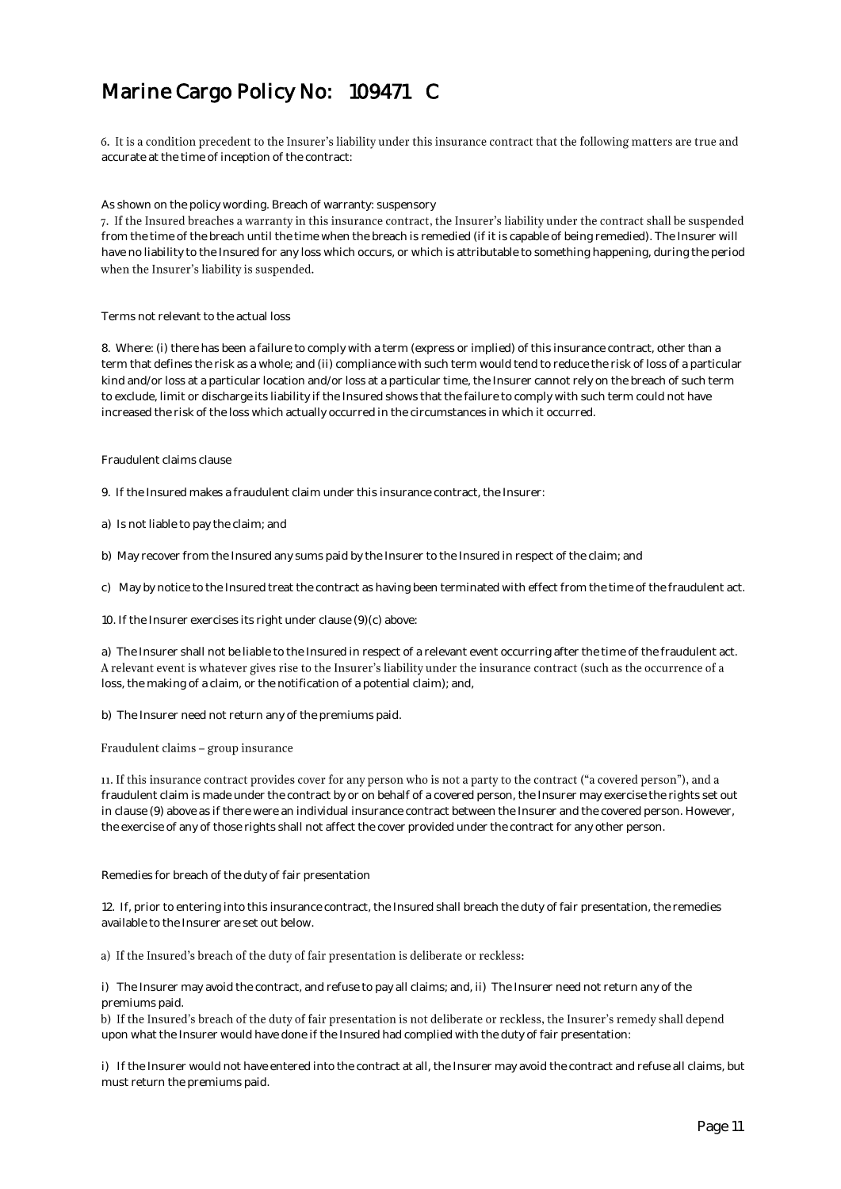6. It is a condition precedent to the Insurer's liability under this insurance contract that the following matters are true and accurate at the time of inception of the contract:

#### As shown on the policy wording. Breach of warranty: suspensory

7. If the Insured breaches a warranty in this insurance contract, the Insurer's liability under the contract shall be suspended from the time of the breach until the time when the breach is remedied (if it is capable of being remedied). The Insurer will have no liability to the Insured for any loss which occurs, or which is attributable to something happening, during the period when the Insurer's liability is suspended.

Terms not relevant to the actual loss

8. Where: (i) there has been a failure to comply with a term (express or implied) of this insurance contract, other than a term that defines the risk as a whole; and (ii) compliance with such term would tend to reduce the risk of loss of a particular kind and/or loss at a particular location and/or loss at a particular time, the Insurer cannot rely on the breach of such term to exclude, limit or discharge its liability if the Insured shows that the failure to comply with such term could not have increased the risk of the loss which actually occurred in the circumstances in which it occurred.

#### Fraudulent claims clause

9. If the Insured makes a fraudulent claim under this insurance contract, the Insurer:

- a) Is not liable to pay the claim; and
- b) May recover from the Insured any sums paid by the Insurer to the Insured in respect of the claim; and
- c) May by notice to the Insured treat the contract as having been terminated with effect from the time of the fraudulent act.
- 10. If the Insurer exercises its right under clause (9)(c) above:

a) The Insurer shall not be liable to the Insured in respect of a relevant event occurring after the time of the fraudulent act. A relevant event is whatever gives rise to the Insurer's liability under the insurance contract (such as the occurrence of a loss, the making of a claim, or the notification of a potential claim); and,

b) The Insurer need not return any of the premiums paid.

#### Fraudulent claims - group insurance

11. If this insurance contract provides cover for any person who is not a party to the contract ("a covered person"), and a fraudulent claim is made under the contract by or on behalf of a covered person, the Insurer may exercise the rights set out in clause (9) above as if there were an individual insurance contract between the Insurer and the covered person. However, the exercise of any of those rights shall not affect the cover provided under the contract for any other person.

Remedies for breach of the duty of fair presentation

12. If, prior to entering into this insurance contract, the Insured shall breach the duty of fair presentation, the remedies available to the Insurer are set out below.

### a) If the Insured's breach of the duty of fair presentation is deliberate or reckless:

i) The Insurer may avoid the contract, and refuse to pay all claims; and, ii) The Insurer need not return any of the premiums paid.

b) If the Insured's breach of the duty of fair presentation is not deliberate or reckless, the Insurer's remedy shall depend upon what the Insurer would have done if the Insured had complied with the duty of fair presentation:

i) If the Insurer would not have entered into the contract at all, the Insurer may avoid the contract and refuse all claims, but must return the premiums paid.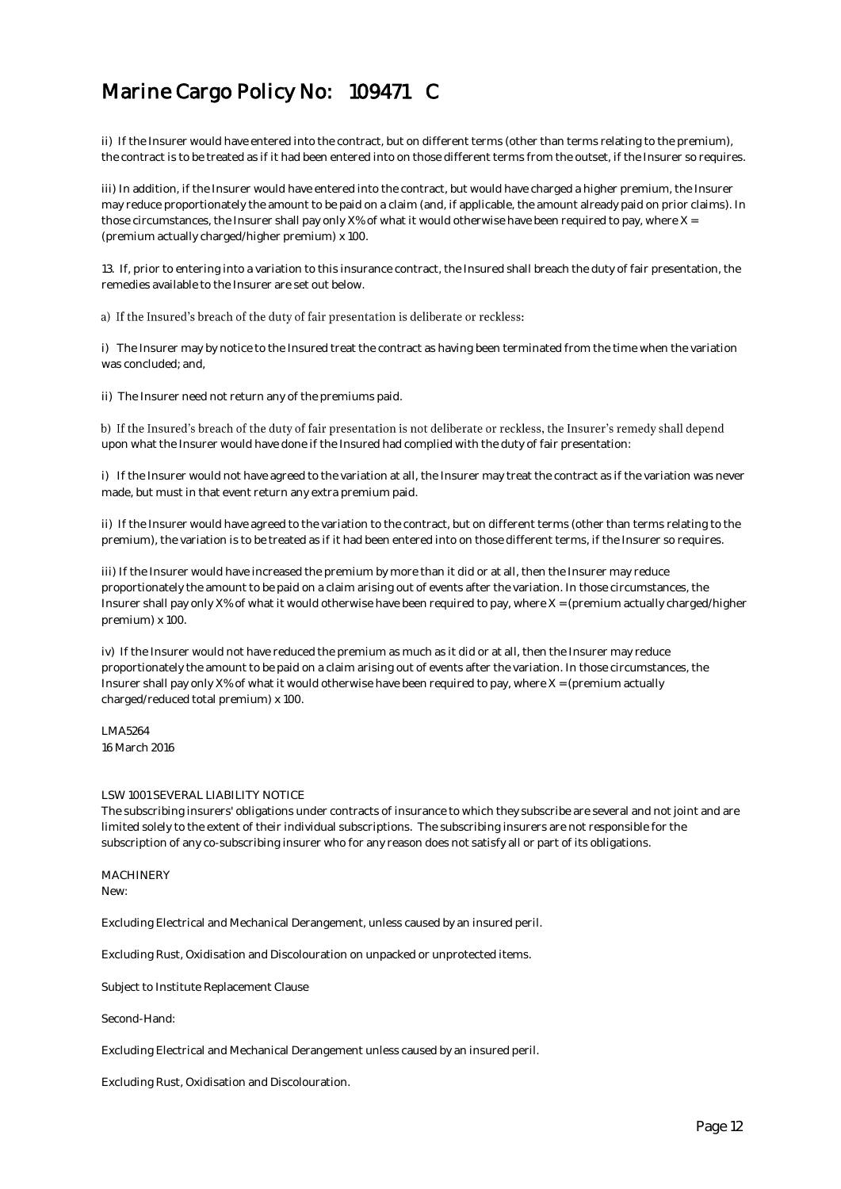ii) If the Insurer would have entered into the contract, but on different terms (other than terms relating to the premium), the contract is to be treated as if it had been entered into on those different terms from the outset, if the Insurer so requires.

iii) In addition, if the Insurer would have entered into the contract, but would have charged a higher premium, the Insurer may reduce proportionately the amount to be paid on a claim (and, if applicable, the amount already paid on prior claims). In those circumstances, the Insurer shall pay only X% of what it would otherwise have been required to pay, where X = (premium actually charged/higher premium) x 100.

13. If, prior to entering into a variation to this insurance contract, the Insured shall breach the duty of fair presentation, the remedies available to the Insurer are set out below.

### a) If the Insured's breach of the duty of fair presentation is deliberate or reckless:

i) The Insurer may by notice to the Insured treat the contract as having been terminated from the time when the variation was concluded; and,

ii) The Insurer need not return any of the premiums paid.

b) If the Insured's breach of the duty of fair presentation is not deliberate or reckless, the Insurer's remedy shall depend upon what the Insurer would have done if the Insured had complied with the duty of fair presentation:

i) If the Insurer would not have agreed to the variation at all, the Insurer may treat the contract as if the variation was never made, but must in that event return any extra premium paid.

ii) If the Insurer would have agreed to the variation to the contract, but on different terms (other than terms relating to the premium), the variation is to be treated as if it had been entered into on those different terms, if the Insurer so requires.

iii) If the Insurer would have increased the premium by more than it did or at all, then the Insurer may reduce proportionately the amount to be paid on a claim arising out of events after the variation. In those circumstances, the Insurer shall pay only X% of what it would otherwise have been required to pay, where X = (premium actually charged/higher premium) x 100.

iv) If the Insurer would not have reduced the premium as much as it did or at all, then the Insurer may reduce proportionately the amount to be paid on a claim arising out of events after the variation. In those circumstances, the Insurer shall pay only X% of what it would otherwise have been required to pay, where X = (premium actually charged/reduced total premium) x 100.

LMA5264 16 March 2016

#### LSW 1001 SEVERAL LIABILITY NOTICE

The subscribing insurers' obligations under contracts of insurance to which they subscribe are several and not joint and are limited solely to the extent of their individual subscriptions. The subscribing insurers are not responsible for the subscription of any co-subscribing insurer who for any reason does not satisfy all or part of its obligations.

MACHINERY New:

Excluding Electrical and Mechanical Derangement, unless caused by an insured peril.

Excluding Rust, Oxidisation and Discolouration on unpacked or unprotected items.

Subject to Institute Replacement Clause

Second-Hand:

Excluding Electrical and Mechanical Derangement unless caused by an insured peril.

Excluding Rust, Oxidisation and Discolouration.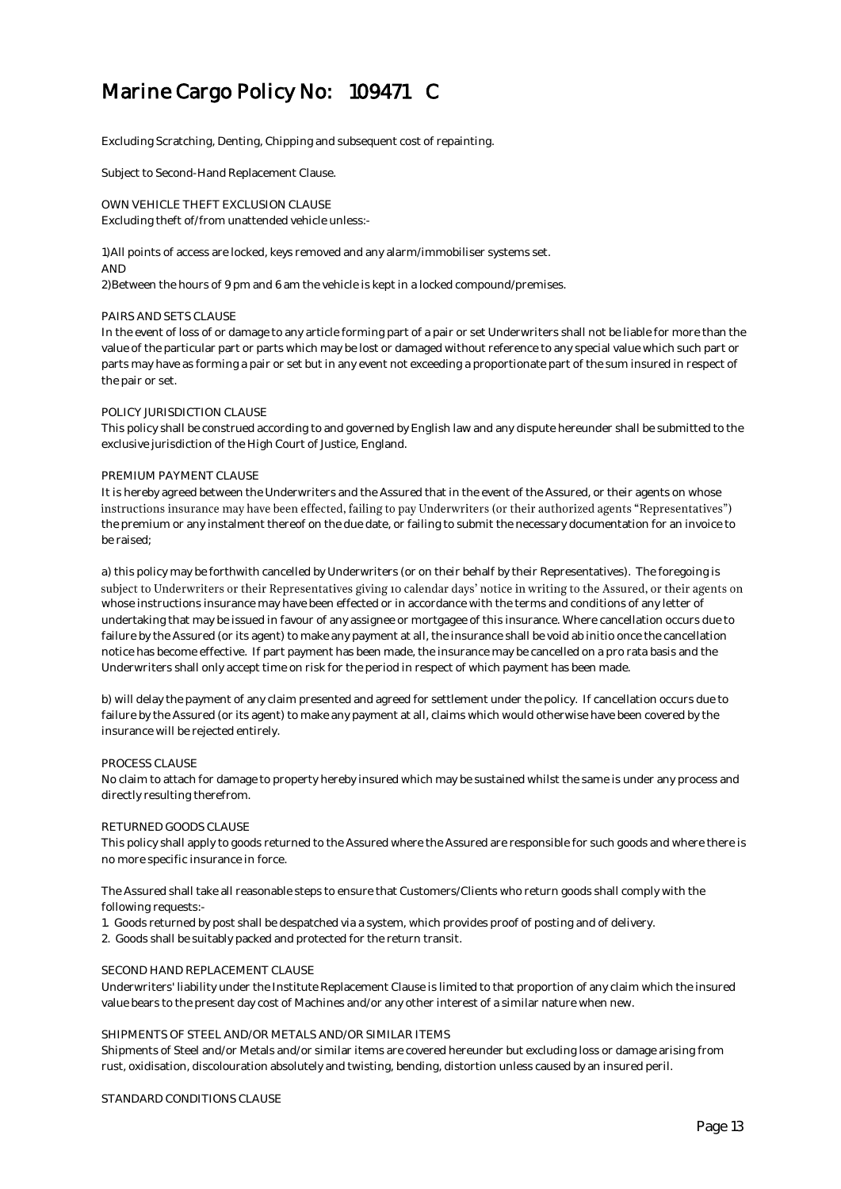Excluding Scratching, Denting, Chipping and subsequent cost of repainting.

Subject to Second-Hand Replacement Clause.

OWN VEHICLE THEFT EXCLUSION CLAUSE Excluding theft of/from unattended vehicle unless:-

1) All points of access are locked, keys removed and any alarm/immobiliser systems set. AND

2) Between the hours of 9 pm and 6 am the vehicle is kept in a locked compound/premises.

#### PAIRS AND SETS CLAUSE

In the event of loss of or damage to any article forming part of a pair or set Underwriters shall not be liable for more than the value of the particular part or parts which may be lost or damaged without reference to any special value which such part or parts may have as forming a pair or set but in any event not exceeding a proportionate part of the sum insured in respect of the pair or set.

### POLICY JURISDICTION CLAUSE

This policy shall be construed according to and governed by English law and any dispute hereunder shall be submitted to the exclusive jurisdiction of the High Court of Justice, England.

### PREMIUM PAYMENT CLAUSE

It is hereby agreed between the Underwriters and the Assured that in the event of the Assured, or their agents on whose instructions insurance may have been effected, failing to pay Underwriters (or their authorized agents "Representatives") the premium or any instalment thereof on the due date, or failing to submit the necessary documentation for an invoice to be raised;

a) this policy may be forthwith cancelled by Underwriters (or on their behalf by their Representatives). The foregoing is subject to Underwriters or their Representatives giving 10 calendar days' notice in writing to the Assured, or their agents on whose instructions insurance may have been effected or in accordance with the terms and conditions of any letter of undertaking that may be issued in favour of any assignee or mortgagee of this insurance. Where cancellation occurs due to failure by the Assured (or its agent) to make any payment at all, the insurance shall be void ab initio once the cancellation notice has become effective. If part payment has been made, the insurance may be cancelled on a pro rata basis and the Underwriters shall only accept time on risk for the period in respect of which payment has been made.

b) will delay the payment of any claim presented and agreed for settlement under the policy. If cancellation occurs due to failure by the Assured (or its agent) to make any payment at all, claims which would otherwise have been covered by the insurance will be rejected entirely.

#### PROCESS CLAUSE

No claim to attach for damage to property hereby insured which may be sustained whilst the same is under any process and directly resulting therefrom.

### RETURNED GOODS CLAUSE

This policy shall apply to goods returned to the Assured where the Assured are responsible for such goods and where there is no more specific insurance in force.

The Assured shall take all reasonable steps to ensure that Customers/Clients who return goods shall comply with the following requests:-

- 1. Goods returned by post shall be despatched via a system, which provides proof of posting and of delivery.
- 2. Goods shall be suitably packed and protected for the return transit.

### SECOND HAND REPLACEMENT CLAUSE

Underwriters' liability under the Institute Replacement Clause is limited to that proportion of any claim which the insured value bears to the present day cost of Machines and/or any other interest of a similar nature when new.

#### SHIPMENTS OF STEEL AND/OR METALS AND/OR SIMILAR ITEMS

Shipments of Steel and/or Metals and/or similar items are covered hereunder but excluding loss or damage arising from rust, oxidisation, discolouration absolutely and twisting, bending, distortion unless caused by an insured peril.

STANDARD CONDITIONS CLAUSE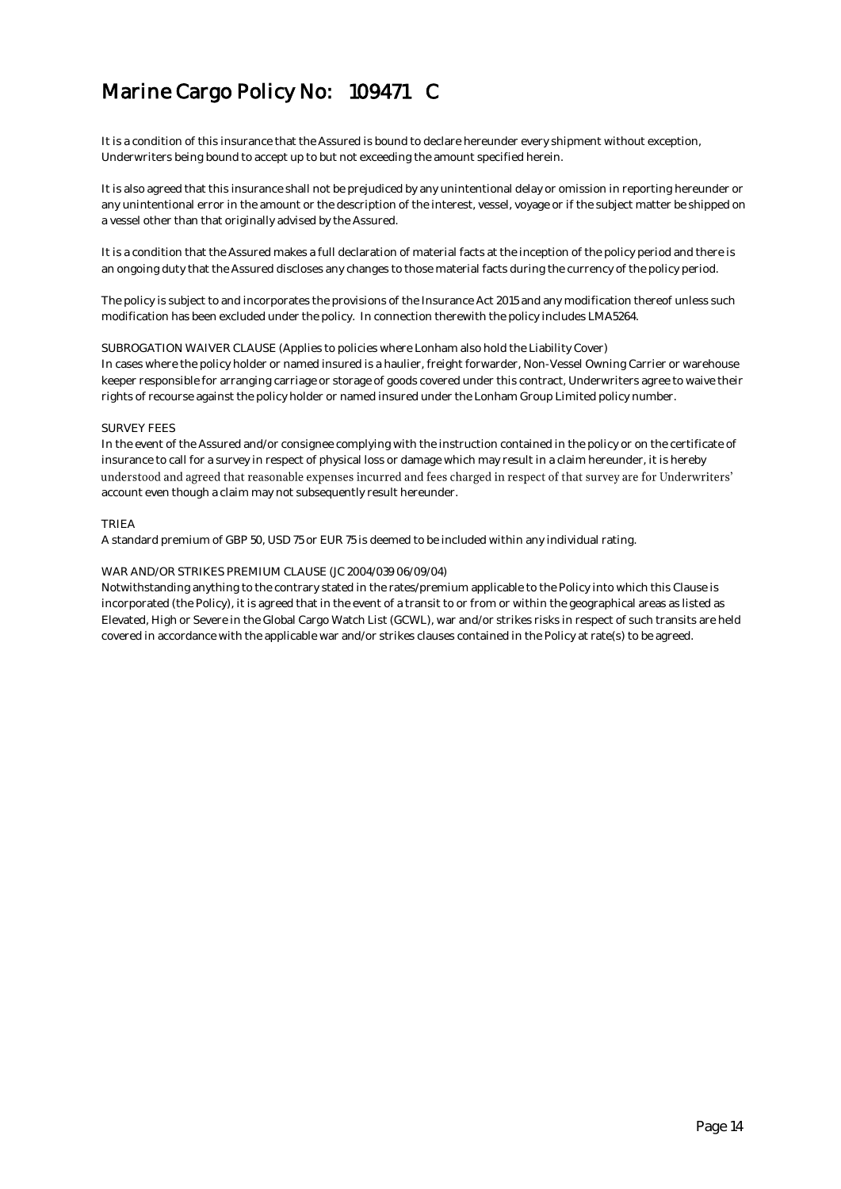It is a condition of this insurance that the Assured is bound to declare hereunder every shipment without exception, Underwriters being bound to accept up to but not exceeding the amount specified herein.

It is also agreed that this insurance shall not be prejudiced by any unintentional delay or omission in reporting hereunder or any unintentional error in the amount or the description of the interest, vessel, voyage or if the subject matter be shipped on a vessel other than that originally advised by the Assured.

It is a condition that the Assured makes a full declaration of material facts at the inception of the policy period and there is an ongoing duty that the Assured discloses any changes to those material facts during the currency of the policy period.

The policy is subject to and incorporates the provisions of the Insurance Act 2015 and any modification thereof unless such modification has been excluded under the policy. In connection therewith the policy includes LMA5264.

SUBROGATION WAIVER CLAUSE (Applies to policies where Lonham also hold the Liability Cover) In cases where the policy holder or named insured is a haulier, freight forwarder, Non-Vessel Owning Carrier or warehouse keeper responsible for arranging carriage or storage of goods covered under this contract, Underwriters agree to waive their rights of recourse against the policy holder or named insured under the Lonham Group Limited policy number.

### SURVEY FEES

In the event of the Assured and/or consignee complying with the instruction contained in the policy or on the certificate of insurance to call for a survey in respect of physical loss or damage which may result in a claim hereunder, it is hereby understood and agreed that reasonable expenses incurred and fees charged in respect of that survey are for Underwriters' account even though a claim may not subsequently result hereunder.

### TRIEA

A standard premium of GBP 50, USD 75 or EUR 75 is deemed to be included within any individual rating.

### WAR AND/OR STRIKES PREMIUM CLAUSE (JC 2004/039 06/09/04)

Notwithstanding anything to the contrary stated in the rates/premium applicable to the Policy into which this Clause is incorporated (the Policy), it is agreed that in the event of a transit to or from or within the geographical areas as listed as Elevated, High or Severe in the Global Cargo Watch List (GCWL), war and/or strikes risks in respect of such transits are held covered in accordance with the applicable war and/or strikes clauses contained in the Policy at rate(s) to be agreed.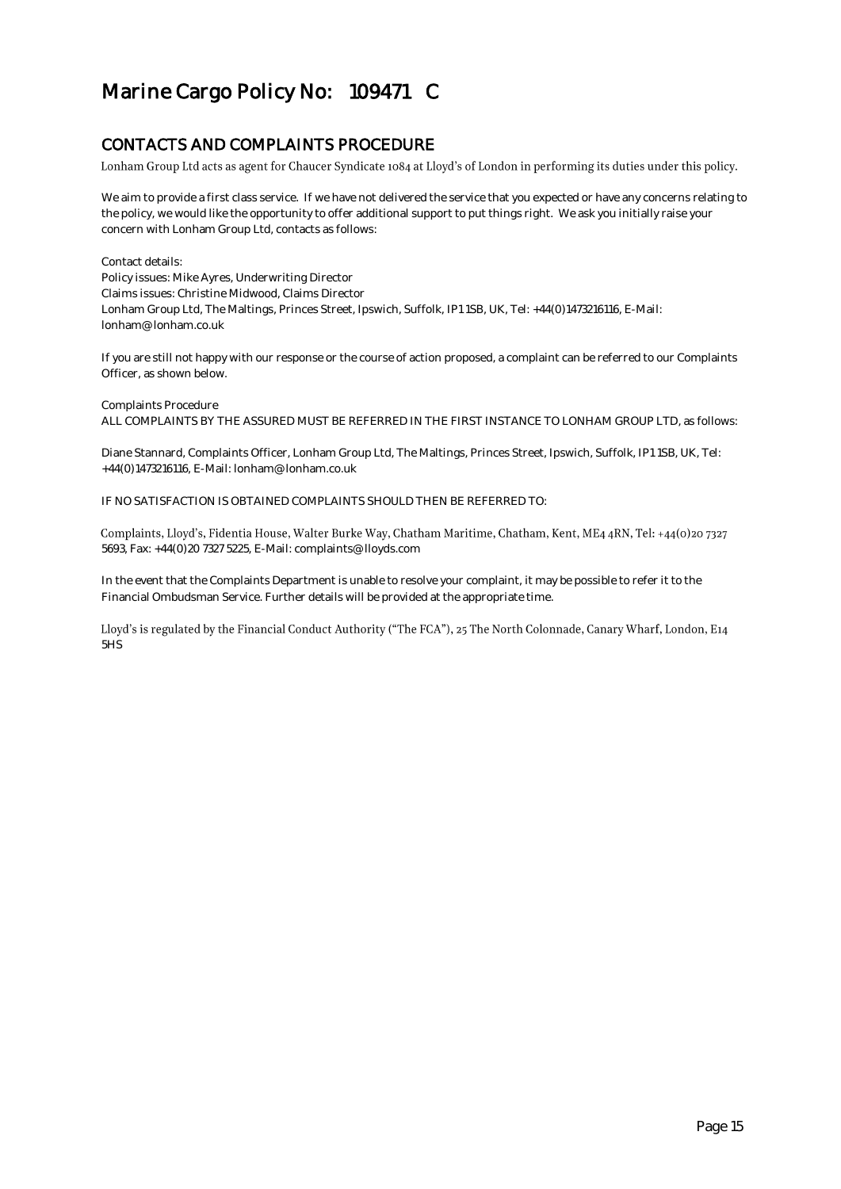### CONTACTS AND COMPLAINTS PROCEDURE

Lonham Group Ltd acts as agent for Chaucer Syndicate 1084 at Lloyd's of London in performing its duties under this policy.

We aim to provide a first class service. If we have not delivered the service that you expected or have any concerns relating to the policy, we would like the opportunity to offer additional support to put things right. We ask you initially raise your concern with Lonham Group Ltd, contacts as follows:

Contact details: Policy issues: Mike Ayres, Underwriting Director Claims issues: Christine Midwood, Claims Director Lonham Group Ltd, The Maltings, Princes Street, Ipswich, Suffolk, IP1 1SB, UK, Tel: +44(0)1473216116, E-Mail: lonham@lonham.co.uk

If you are still not happy with our response or the course of action proposed, a complaint can be referred to our Complaints Officer, as shown below.

Complaints Procedure ALL COMPLAINTS BY THE ASSURED MUST BE REFERRED IN THE FIRST INSTANCE TO LONHAM GROUP LTD, as follows:

Diane Stannard, Complaints Officer, Lonham Group Ltd, The Maltings, Princes Street, Ipswich, Suffolk, IP1 1SB, UK, Tel: +44(0)1473216116, E-Mail: lonham@lonham.co.uk

IF NO SATISFACTION IS OBTAINED COMPLAINTS SHOULD THEN BE REFERRED TO:

Complaints, Lloyd's, Fidentia House, Walter Burke Way, Chatham Maritime, Chatham, Kent, ME4 4RN, Tel: +44(0)207327 5693, Fax: +44(0)20 7327 5225, E-Mail: complaints@lloyds.com

In the event that the Complaints Department is unable to resolve your complaint, it may be possible to refer it to the Financial Ombudsman Service. Further details will be provided at the appropriate time.

Lloyd's is regulated by the Financial Conduct Authority ("The FCA"), 25 The North Colonnade, Canary Wharf, London, E14 5HS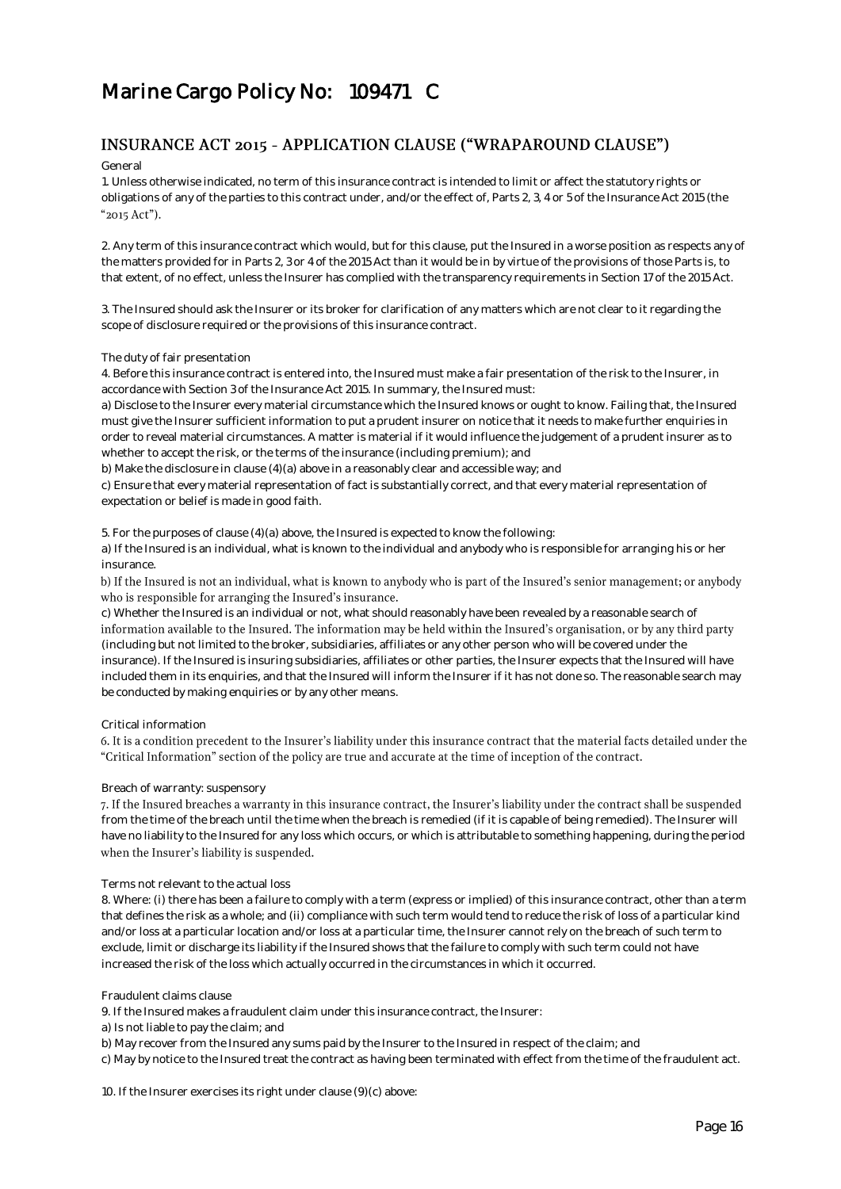### INSURANCE ACT 2015 - APPLICATION CLAUSE ("WRAPAROUND CLAUSE")

General

1. Unless otherwise indicated, no term of this insurance contract is intended to limit or affect the statutory rights or obligations of any of the parties to this contract under, and/or the effect of, Parts 2, 3, 4 or 5 of the Insurance Act 2015 (the "2015 Act").

2. Any term of this insurance contract which would, but for this clause, put the Insured in a worse position as respects any of the matters provided for in Parts 2, 3 or 4 of the 2015 Act than it would be in by virtue of the provisions of those Parts is, to that extent, of no effect, unless the Insurer has complied with the transparency requirements in Section 17 of the 2015 Act.

3. The Insured should ask the Insurer or its broker for clarification of any matters which are not clear to it regarding the scope of disclosure required or the provisions of this insurance contract.

### The duty of fair presentation

4. Before this insurance contract is entered into, the Insured must make a fair presentation of the risk to the Insurer, in accordance with Section 3 of the Insurance Act 2015. In summary, the Insured must:

a) Disclose to the Insurer every material circumstance which the Insured knows or ought to know. Failing that, the Insured must give the Insurer sufficient information to put a prudent insurer on notice that it needs to make further enquiries in order to reveal material circumstances. A matter is material if it would influence the judgement of a prudent insurer as to whether to accept the risk, or the terms of the insurance (including premium); and

b) Make the disclosure in clause (4)(a) above in a reasonably clear and accessible way; and

c) Ensure that every material representation of fact is substantially correct, and that every material representation of expectation or belief is made in good faith.

5. For the purposes of clause (4)(a) above, the Insured is expected to know the following:

a) If the Insured is an individual, what is known to the individual and anybody who is responsible for arranging his or her insurance.

b) If the Insured is not an individual, what is known to anybody who is part of the Insured's senior management; or anybody who is responsible for arranging the Insured's insurance.

c) Whether the Insured is an individual or not, what should reasonably have been revealed by a reasonable search of information available to the Insured. The information may be held within the Insured's organisation, or by any third party (including but not limited to the broker, subsidiaries, affiliates or any other person who will be covered under the insurance). If the Insured is insuring subsidiaries, affiliates or other parties, the Insurer expects that the Insured will have included them in its enquiries, and that the Insured will inform the Insurer if it has not done so. The reasonable search may be conducted by making enquiries or by any other means.

### Critical information

6. It is a condition precedent to the Insurer's liability under this insurance contract that the material facts detailed under the "Critical Information" section of the policy are true and accurate at the time of inception of the contract.

### Breach of warranty: suspensory

7. If the Insured breaches a warranty in this insurance contract, the Insurer's liability under the contract shall be suspended from the time of the breach until the time when the breach is remedied (if it is capable of being remedied). The Insurer will have no liability to the Insured for any loss which occurs, or which is attributable to something happening, during the period when the Insurer's liability is suspended.

### Terms not relevant to the actual loss

8. Where: (i) there has been a failure to comply with a term (express or implied) of this insurance contract, other than a term that defines the risk as a whole; and (ii) compliance with such term would tend to reduce the risk of loss of a particular kind and/or loss at a particular location and/or loss at a particular time, the Insurer cannot rely on the breach of such term to exclude, limit or discharge its liability if the Insured shows that the failure to comply with such term could not have increased the risk of the loss which actually occurred in the circumstances in which it occurred.

Fraudulent claims clause

9. If the Insured makes a fraudulent claim under this insurance contract, the Insurer:

a) Is not liable to pay the claim; and

b) May recover from the Insured any sums paid by the Insurer to the Insured in respect of the claim; and

c) May by notice to the Insured treat the contract as having been terminated with effect from the time of the fraudulent act.

10. If the Insurer exercises its right under clause (9)(c) above: